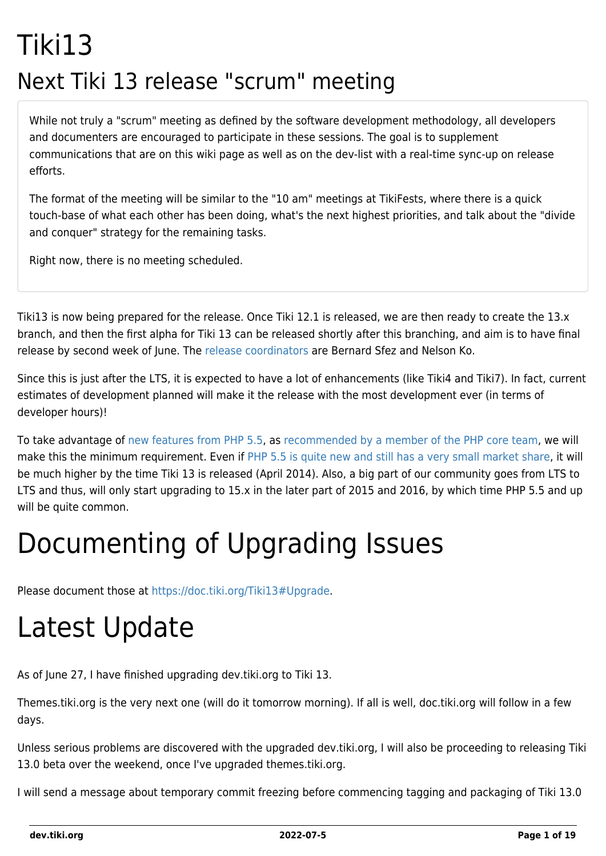## Tiki13 Next Tiki 13 release "scrum" meeting

While not truly a "scrum" meeting as defined by the software development methodology, all developers and documenters are encouraged to participate in these sessions. The goal is to supplement communications that are on this wiki page as well as on the dev-list with a real-time sync-up on release efforts.

The format of the meeting will be similar to the "10 am" meetings at TikiFests, where there is a quick touch-base of what each other has been doing, what's the next highest priorities, and talk about the "divide and conquer" strategy for the remaining tasks.

Right now, there is no meeting scheduled.

Tiki13 is now being prepared for the release. Once Tiki 12.1 is released, we are then ready to create the 13.x branch, and then the first alpha for Tiki 13 can be released shortly after this branching, and aim is to have final release by second week of June. The [release coordinators](http://tiki.org/release%20coordinators) are Bernard Sfez and Nelson Ko.

Since this is just after the LTS, it is expected to have a lot of enhancements (like Tiki4 and Tiki7). In fact, current estimates of development planned will make it the release with the most development ever (in terms of developer hours)!

To take advantage of [new features from PHP 5.5](http://php.net/manual/en/migration55.new-features.php), as [recommended by a member of the PHP core team,](http://schlueters.de/blog/archives/173-PHP-5.5-is-out,-whats-up-with-5.4-and-5.3.html) we will make this the minimum requirement. Even if [PHP 5.5 is quite new and still has a very small market share,](http://w3techs.com/technologies/details/pl-php/5/all) it will be much higher by the time Tiki 13 is released (April 2014). Also, a big part of our community goes from LTS to LTS and thus, will only start upgrading to 15.x in the later part of 2015 and 2016, by which time PHP 5.5 and up will be quite common.

## Documenting of Upgrading Issues

Please document those at [https://doc.tiki.org/Tiki13#Upgrade.](https://doc.tiki.org/Tiki13#Upgrade)

## Latest Update

As of June 27, I have finished upgrading dev.tiki.org to Tiki 13.

Themes.tiki.org is the very next one (will do it tomorrow morning). If all is well, doc.tiki.org will follow in a few days.

Unless serious problems are discovered with the upgraded dev.tiki.org, I will also be proceeding to releasing Tiki 13.0 beta over the weekend, once I've upgraded themes.tiki.org.

I will send a message about temporary commit freezing before commencing tagging and packaging of Tiki 13.0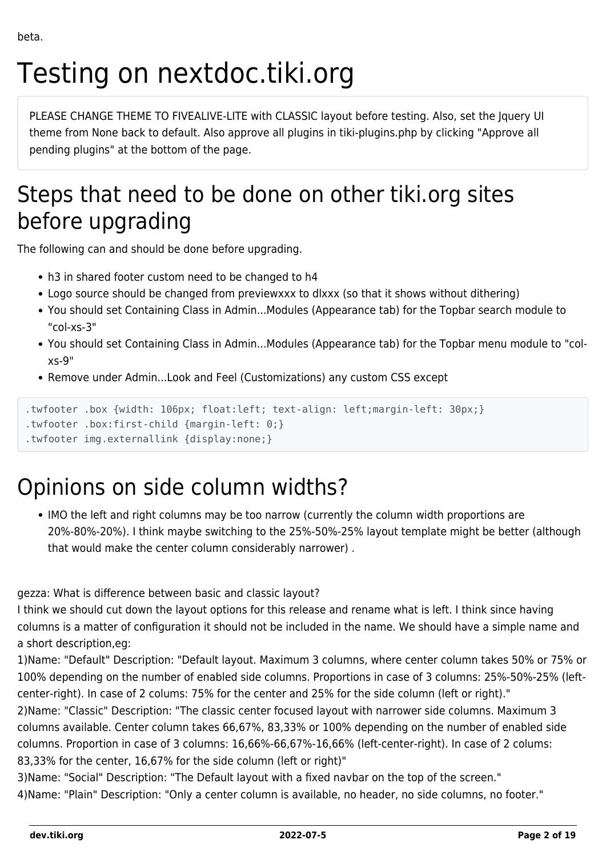# Testing on nextdoc.tiki.org

PLEASE CHANGE THEME TO FIVEALIVE-LITE with CLASSIC layout before testing. Also, set the Jquery UI theme from None back to default. Also approve all plugins in tiki-plugins.php by clicking "Approve all pending plugins" at the bottom of the page.

### Steps that need to be done on other tiki.org sites before upgrading

The following can and should be done before upgrading.

- h3 in shared footer custom need to be changed to h4
- Logo source should be changed from previewxxx to dlxxx (so that it shows without dithering)
- You should set Containing Class in Admin...Modules (Appearance tab) for the Topbar search module to "col-xs-3"
- You should set Containing Class in Admin...Modules (Appearance tab) for the Topbar menu module to "colxs-9"
- Remove under Admin...Look and Feel (Customizations) any custom CSS except

```
.twfooter .box {width: 106px; float:left; text-align: left;margin-left: 30px;}
```

```
.twfooter .box:first-child {margin-left: 0;}
```

```
.twfooter img.externallink {display:none;}
```
### Opinions on side column widths?

IMO the left and right columns may be too narrow (currently the column width proportions are 20%-80%-20%). I think maybe switching to the 25%-50%-25% layout template might be better (although that would make the center column considerably narrower) .

gezza: What is difference between basic and classic layout?

I think we should cut down the layout options for this release and rename what is left. I think since having columns is a matter of configuration it should not be included in the name. We should have a simple name and a short description,eg:

1)Name: "Default" Description: "Default layout. Maximum 3 columns, where center column takes 50% or 75% or 100% depending on the number of enabled side columns. Proportions in case of 3 columns: 25%-50%-25% (leftcenter-right). In case of 2 colums: 75% for the center and 25% for the side column (left or right)."

2)Name: "Classic" Description: "The classic center focused layout with narrower side columns. Maximum 3 columns available. Center column takes 66,67%, 83,33% or 100% depending on the number of enabled side columns. Proportion in case of 3 columns: 16,66%-66,67%-16,66% (left-center-right). In case of 2 colums: 83,33% for the center, 16,67% for the side column (left or right)"

3)Name: "Social" Description: "The Default layout with a fixed navbar on the top of the screen." 4)Name: "Plain" Description: "Only a center column is available, no header, no side columns, no footer."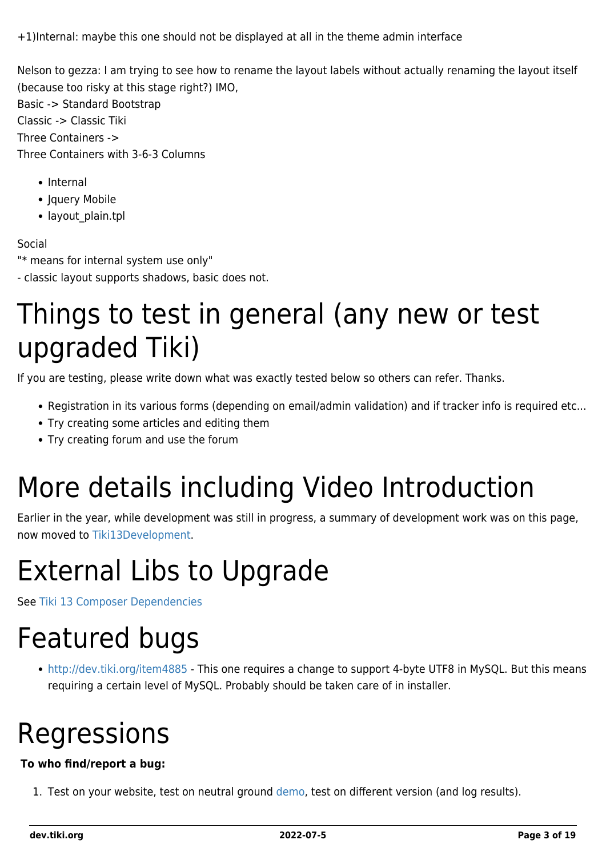+1)Internal: maybe this one should not be displayed at all in the theme admin interface

Nelson to gezza: I am trying to see how to rename the layout labels without actually renaming the layout itself (because too risky at this stage right?) IMO,

Basic -> Standard Bootstrap Classic -> Classic Tiki Three Containers -> Three Containers with 3-6-3 Columns

- Internal
- Jquery Mobile
- layout plain.tpl

#### Social

"\* means for internal system use only"

- classic layout supports shadows, basic does not.

### Things to test in general (any new or test upgraded Tiki)

If you are testing, please write down what was exactly tested below so others can refer. Thanks.

- Registration in its various forms (depending on email/admin validation) and if tracker info is required etc...
- Try creating some articles and editing them
- Try creating forum and use the forum

## More details including Video Introduction

Earlier in the year, while development was still in progress, a summary of development work was on this page, now moved to [Tiki13Development](https://dev.tiki.org/tiki13Development).

## External Libs to Upgrade

See [Tiki 13 Composer Dependencies](https://dev.tiki.org/Tiki-13-Composer-Dependencies)

### Featured bugs

<http://dev.tiki.org/item4885> - This one requires a change to support 4-byte UTF8 in MySQL. But this means requiring a certain level of MySQL. Probably should be taken care of in installer.

## Regressions

#### **To who find/report a bug:**

1. Test on your website, test on neutral ground [demo,](http://demo.tiki.org) test on different version (and log results).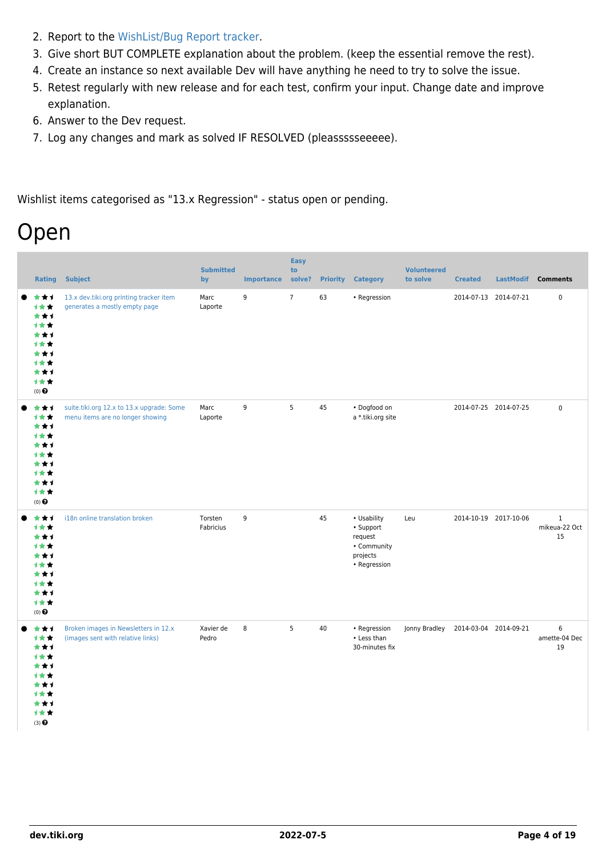- 2. Report to the [WishList/Bug Report tracker.](https://dev.tiki.org/Make+a+wish)
- 3. Give short BUT COMPLETE explanation about the problem. (keep the essential remove the rest).
- 4. Create an instance so next available Dev will have anything he need to try to solve the issue.
- 5. Retest regularly with new release and for each test, confirm your input. Change date and improve explanation.
- 6. Answer to the Dev request.
- 7. Log any changes and mark as solved IF RESOLVED (pleassssseeeee).

Wishlist items categorised as "13.x Regression" - status open or pending.

### Open

| <b>Rating</b>                                                                       | <b>Subject</b>                                                                | <b>Submitted</b><br>by | <b>Importance</b> | <b>Easy</b><br>to<br>solve? | <b>Priority</b> | <b>Category</b>                                                                | <b>Volunteered</b><br>to solve | <b>Created</b>        |                       | LastModif Comments                 |
|-------------------------------------------------------------------------------------|-------------------------------------------------------------------------------|------------------------|-------------------|-----------------------------|-----------------|--------------------------------------------------------------------------------|--------------------------------|-----------------------|-----------------------|------------------------------------|
| ***<br>***<br>***<br>***<br>***<br>***<br>***<br>计女女<br>***<br>计女女<br>(0)           | 13.x dev.tiki.org printing tracker item<br>generates a mostly empty page      | Marc<br>Laporte        | 9                 | $7\overline{ }$             | 63              | • Regression                                                                   |                                |                       | 2014-07-13 2014-07-21 | $\pmb{0}$                          |
| ***<br>计女女<br>***<br>***<br>***<br>计女女<br>***<br>***<br>***<br>计女女<br>$(0)$ $\odot$ | suite.tiki.org 12.x to 13.x upgrade: Some<br>menu items are no longer showing | Marc<br>Laporte        | 9                 | 5                           | 45              | · Dogfood on<br>a *.tiki.org site                                              |                                |                       | 2014-07-25 2014-07-25 | $\mathsf 0$                        |
| ***<br>1★★<br>***<br>计女女<br>***<br>计女女<br>***<br>计女女<br>***<br>计女女<br>(0)           | i18n online translation broken                                                | Torsten<br>Fabricius   | 9                 |                             | 45              | • Usability<br>· Support<br>request<br>• Community<br>projects<br>• Regression | Leu                            |                       | 2014-10-19 2017-10-06 | $\mathbf 1$<br>mikeua-22 Oct<br>15 |
| ***<br>***<br>***<br>***<br>***<br>计女女<br>***<br>计女女<br>***<br>计女女<br>(3)           | Broken images in Newsletters in 12.x<br>(images sent with relative links)     | Xavier de<br>Pedro     | 8                 | 5                           | 40              | • Regression<br>• Less than<br>30-minutes fix                                  | Jonny Bradley                  | 2014-03-04 2014-09-21 |                       | 6<br>amette-04 Dec<br>19           |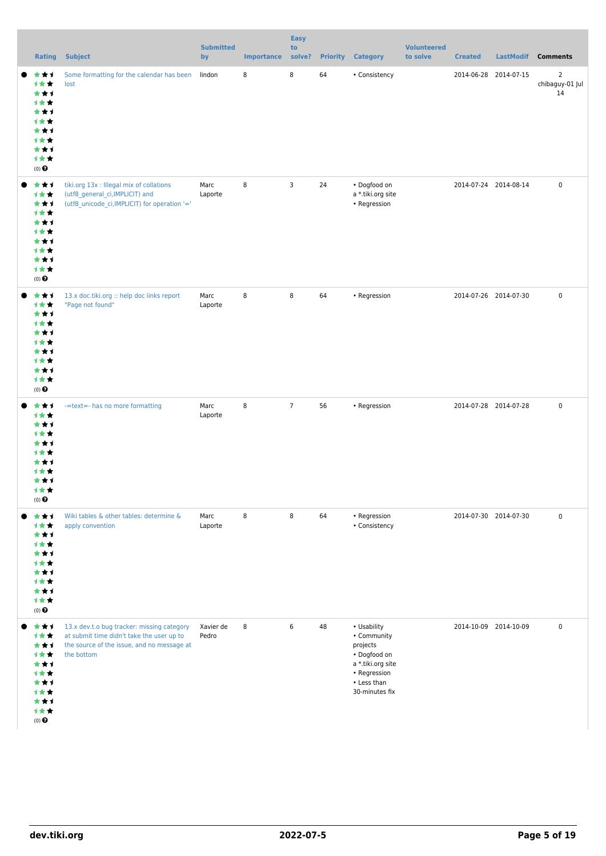| <b>Rating</b>                                                                                                  | <b>Subject</b>                                                                                                                                      | <b>Submitted</b><br>by | <b>Importance</b> | <b>Easy</b><br>to<br>solve? |    | <b>Priority Category</b>                                                                                                     | <b>Volunteered</b><br>to solve | <b>Created</b>        |                       | LastModif Comments                      |
|----------------------------------------------------------------------------------------------------------------|-----------------------------------------------------------------------------------------------------------------------------------------------------|------------------------|-------------------|-----------------------------|----|------------------------------------------------------------------------------------------------------------------------------|--------------------------------|-----------------------|-----------------------|-----------------------------------------|
| ***<br>计女女<br>***<br>计女女<br>***<br>计女女<br>***<br>计女女<br>***<br>计女女<br>$(0)$ $\odot$                            | Some formatting for the calendar has been<br>lost                                                                                                   | lindon                 | 8                 | 8                           | 64 | • Consistency                                                                                                                |                                |                       | 2014-06-28 2014-07-15 | $\overline{2}$<br>chibaguy-01 Jul<br>14 |
| ***<br>计女女<br>***<br>计女女<br>***<br>1**<br>***<br>1**<br>***<br>1★★<br>$(0)$ $\odot$                            | tiki.org 13x : Illegal mix of collations<br>(utf8_general_ci,IMPLICIT) and<br>(utf8_unicode_ci,IMPLICIT) for operation '='                          | Marc<br>Laporte        | 8                 | 3                           | 24 | · Dogfood on<br>a *.tiki.org site<br>• Regression                                                                            |                                | 2014-07-24 2014-08-14 |                       | $\mathsf{O}\xspace$                     |
| ***<br>计女女<br>***<br>1**<br>***<br>1 * *<br>***<br>计女女<br>***<br>计女女<br>$(0)$ $\odot$                          | 13.x doc.tiki.org :: help doc links report<br>"Page not found"                                                                                      | Marc<br>Laporte        | 8                 | 8                           | 64 | • Regression                                                                                                                 |                                |                       | 2014-07-26 2014-07-30 | $\mathsf{O}\xspace$                     |
| ***<br>1★★<br>***<br>1 * *<br>***<br>1 <del>*</del> *<br>*1<br>1 <del>*</del> *<br>***<br>计女女<br>$(0)$ $\odot$ | -=text=- has no more formatting                                                                                                                     | Marc<br>Laporte        | 8                 | $\overline{7}$              | 56 | • Regression                                                                                                                 |                                | 2014-07-28 2014-07-28 |                       | $\mathbf 0$                             |
| ***<br>计女女<br>***<br>1**<br>***<br>1★★<br>***<br>计女女<br>***<br>计女女<br>$(0)$ $\odot$                            | Wiki tables & other tables: determine &<br>apply convention                                                                                         | Marc<br>Laporte        | 8                 | 8                           | 64 | • Regression<br>• Consistency                                                                                                |                                |                       | 2014-07-30 2014-07-30 | $\mathsf{O}\xspace$                     |
| ***<br>计女女<br>***<br>计女女<br>***<br>计女女<br>***<br>1★★<br>***<br>计女女<br>$(0)$ $\odot$                            | 13.x dev.t.o bug tracker: missing category<br>at submit time didn't take the user up to<br>the source of the issue, and no message at<br>the bottom | Xavier de<br>Pedro     | 8                 | 6                           | 48 | • Usability<br>• Community<br>projects<br>• Dogfood on<br>a *.tiki.org site<br>• Regression<br>• Less than<br>30-minutes fix |                                |                       | 2014-10-09 2014-10-09 | $\mathsf 0$                             |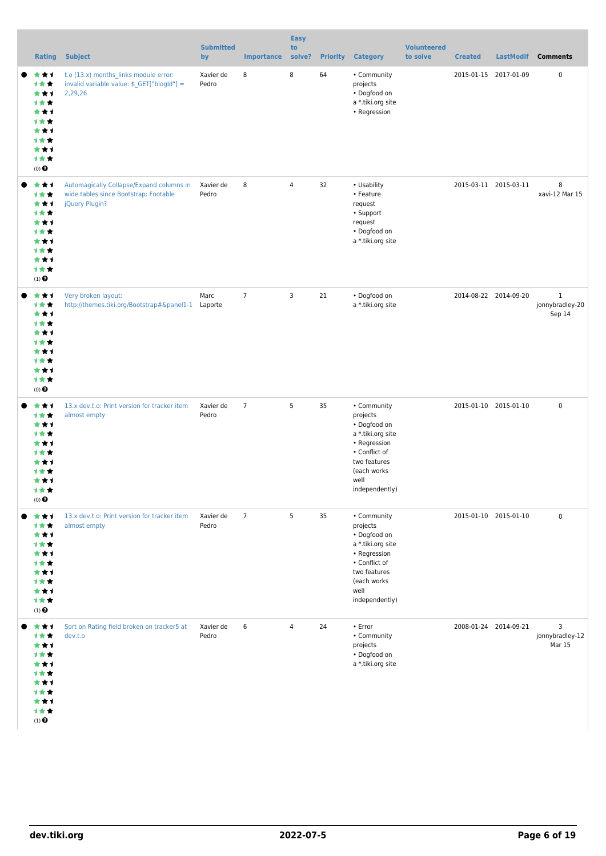| Rating                                                                                                            | <b>Subject</b>                                                                                      | <b>Submitted</b><br>by | <b>Importance</b> | <b>Easy</b><br>to<br>solve? | <b>Priority</b> | <b>Category</b>                                                                                                                                        | <b>Volunteered</b><br>to solve | <b>Created</b>        | <b>LastModif</b>      | <b>Comments</b>                           |
|-------------------------------------------------------------------------------------------------------------------|-----------------------------------------------------------------------------------------------------|------------------------|-------------------|-----------------------------|-----------------|--------------------------------------------------------------------------------------------------------------------------------------------------------|--------------------------------|-----------------------|-----------------------|-------------------------------------------|
| ***<br>1 * *<br>***<br><b>1**</b><br>***<br><b>1**</b><br>***<br><b>1**</b><br>***<br><b>1**</b><br>$(0)$ $\odot$ | t.o (13.x) months_links module error:<br>invalid variable value: \$_GET["blogId"] =<br>2,29,26      | Xavier de<br>Pedro     | 8                 | 8                           | 64              | • Community<br>projects<br>• Dogfood on<br>a *.tiki.org site<br>• Regression                                                                           |                                | 2015-01-15 2017-01-09 |                       | 0                                         |
| ***<br>计女女<br>***<br><b>1**</b><br>***<br>1 * *<br>***<br><b>1**</b><br>***<br>计女女<br>$(1)$ $\odot$               | Automagically Collapse/Expand columns in<br>wide tables since Bootstrap: Footable<br>jQuery Plugin? | Xavier de<br>Pedro     | 8                 | 4                           | 32              | • Usability<br>• Feature<br>request<br>• Support<br>request<br>• Dogfood on<br>a *.tiki.org site                                                       |                                | 2015-03-11 2015-03-11 |                       | 8<br>xavi-12 Mar 15                       |
| ***<br>计女女<br>***<br>1 * *<br>***<br><b>1**</b><br>***<br><b>1**</b><br>***<br>计女女<br>$(0)$ $\odot$               | Very broken layout:                                                                                 | Marc                   | $7\phantom{.0}$   | 3                           | 21              | · Dogfood on<br>a *.tiki.org site                                                                                                                      |                                |                       | 2014-08-22 2014-09-20 | $\mathbf{1}$<br>jonnybradley-20<br>Sep 14 |
| ***<br><b>1**</b><br>***<br>1 * *<br>***<br>1 * *<br>* * 1<br>1 <del>*</del> *<br>***<br>手套套<br>$(0)$ $\odot$     | 13.x dev.t.o: Print version for tracker item<br>almost empty                                        | Xavier de<br>Pedro     | $\overline{7}$    | 5                           | 35              | • Community<br>projects<br>• Dogfood on<br>a *.tiki.org site<br>• Regression<br>• Conflict of<br>two features<br>(each works<br>well<br>independently) |                                | 2015-01-10 2015-01-10 |                       | $\mathsf 0$                               |
| ***<br>计女女<br>***<br>计女女<br>***<br>计女女<br>***<br>计女女<br>***<br>计女女<br>$(1)$ $\odot$                               | 13.x dev.t.o: Print version for tracker item<br>almost empty                                        | Xavier de<br>Pedro     | $7\phantom{.0}$   | 5                           | 35              | • Community<br>projects<br>• Dogfood on<br>a *.tiki.org site<br>• Regression<br>• Conflict of<br>two features<br>(each works<br>well<br>independently) |                                |                       | 2015-01-10 2015-01-10 | $\mathsf 0$                               |
| ***<br>计女女<br>***<br>计女女<br>***<br>计女女<br>***<br>计女女<br>***<br>计女女<br>$(1)$ $\odot$                               | Sort on Rating field broken on tracker5 at<br>dev.t.o                                               | Xavier de<br>Pedro     | 6                 | $\overline{4}$              | 24              | • Error<br>• Community<br>projects<br>· Dogfood on<br>a *.tiki.org site                                                                                |                                | 2008-01-24 2014-09-21 |                       | 3<br>jonnybradley-12<br>Mar 15            |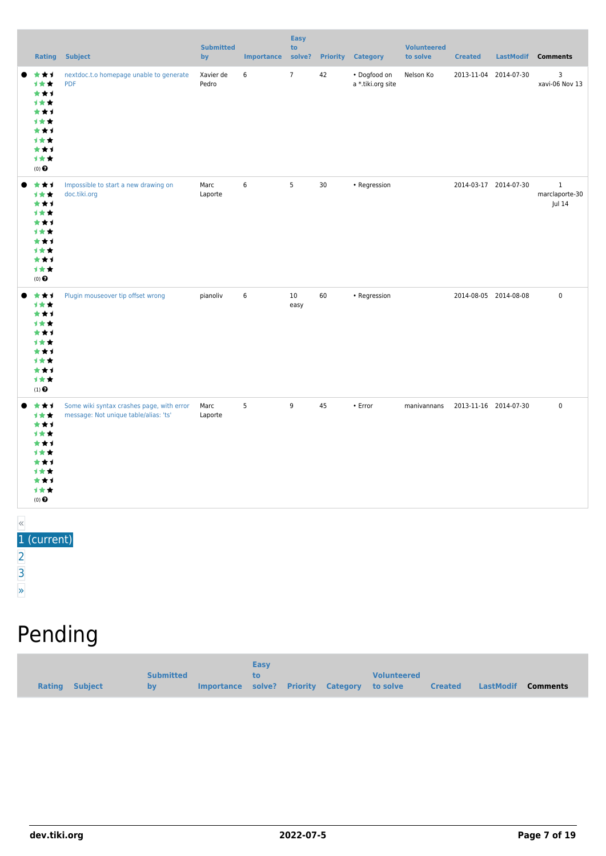|       | Rating                                                                                | <b>Subject</b>                                                                     | <b>Submitted</b><br>by | <b>Importance</b> | <b>Easy</b><br>to<br>solve? | <b>Priority</b> | <b>Category</b>                   | <b>Volunteered</b><br>to solve | <b>Created</b>        | LastModif             | <b>Comments</b>                          |
|-------|---------------------------------------------------------------------------------------|------------------------------------------------------------------------------------|------------------------|-------------------|-----------------------------|-----------------|-----------------------------------|--------------------------------|-----------------------|-----------------------|------------------------------------------|
|       | ***<br>1 * *<br>***<br>1★★<br>***<br>计女女<br>***<br>计女女<br>***<br>1★★<br>$(0)$ $\odot$ | nextdoc.t.o homepage unable to generate<br><b>PDF</b>                              | Xavier de<br>Pedro     | 6                 | $\overline{7}$              | 42              | · Dogfood on<br>a *.tiki.org site | Nelson Ko                      |                       | 2013-11-04 2014-07-30 | 3<br>xavi-06 Nov 13                      |
|       | ***<br>1★★<br>***<br>计女女<br>* * 1<br>计女女<br>***<br>1★★<br>***<br>计女女<br>$(0)$ $\odot$ | Impossible to start a new drawing on<br>doc.tiki.org                               | Marc<br>Laporte        | 6                 | 5                           | 30              | • Regression                      |                                |                       | 2014-03-17 2014-07-30 | $\mathbf{1}$<br>marclaporte-30<br>Jul 14 |
|       | ***<br>计女女<br>***<br>计女女<br>***<br>计女女<br>***<br>计女女<br>***<br>计女女<br>$(1)$ $\odot$   | Plugin mouseover tip offset wrong                                                  | pianoliv               | 6                 | 10 <sup>°</sup><br>easy     | 60              | • Regression                      |                                |                       | 2014-08-05 2014-08-08 | $\mathsf 0$                              |
|       | ***<br>1★★<br>***<br>计女女<br>***<br>计女女<br>***<br>计女女<br>***<br>计女女<br>$(0)$ $\odot$   | Some wiki syntax crashes page, with error<br>message: Not unique table/alias: 'ts' | Marc<br>Laporte        | 5                 | 9                           | 45              | • Error                           | manivannans                    | 2013-11-16 2014-07-30 |                       | $\pmb{0}$                                |
| $\ll$ | $1$ (current)                                                                         |                                                                                    |                        |                   |                             |                 |                                   |                                |                       |                       |                                          |

- urrent) [2](https://dev.tiki.org/tiki-print.php?tr_sort_mode1=f_41_desc&page=Tiki13&tr_offset1=20) [3](https://dev.tiki.org/tiki-print.php?tr_sort_mode1=f_41_desc&page=Tiki13&tr_offset1=40)
- [»](https://dev.tiki.org/tiki-print.php?tr_sort_mode1=f_41_desc&page=Tiki13&tr_offset1=20)

# Pending

|                |                  |                                              | Easy |  |                    |                |                    |
|----------------|------------------|----------------------------------------------|------|--|--------------------|----------------|--------------------|
|                | <b>Submitted</b> |                                              | tο   |  | <b>Volunteered</b> |                |                    |
| Rating Subject | by               | Importance solve? Priority Category to solve |      |  |                    | <b>Created</b> | LastModif Comments |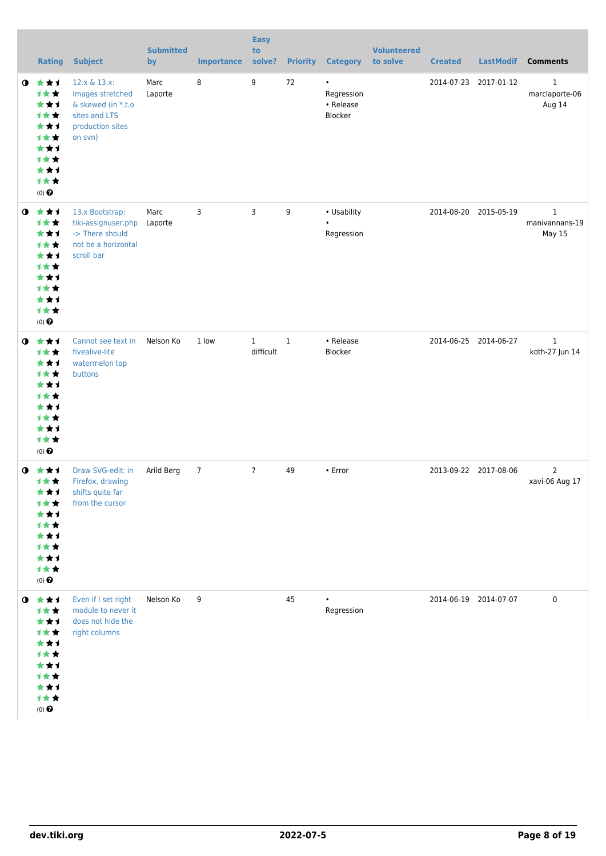|           | <b>Rating</b>                                                                                     | <b>Subject</b>                                                                                         | <b>Submitted</b><br>by | <b>Importance</b> | <b>Easy</b><br>to<br>solve? |              | <b>Priority Category</b>                        | <b>Volunteered</b><br>to solve | <b>Created</b>        | <b>LastModif</b>      | <b>Comments</b>                                 |
|-----------|---------------------------------------------------------------------------------------------------|--------------------------------------------------------------------------------------------------------|------------------------|-------------------|-----------------------------|--------------|-------------------------------------------------|--------------------------------|-----------------------|-----------------------|-------------------------------------------------|
| $\bullet$ | ***<br>计女女<br>***<br>计女女<br>***<br><b>1**</b><br>***<br>计女女<br>***<br>计女女<br>$(0)$ $\odot$        | 12.x & 13.x:<br>Images stretched<br>& skewed (in *.t.o<br>sites and LTS<br>production sites<br>on svn) | Marc<br>Laporte        | 8                 | 9                           | 72           | $\bullet$<br>Regression<br>• Release<br>Blocker |                                |                       | 2014-07-23 2017-01-12 | $\mathbf{1}$<br>marclaporte-06<br>Aug 14        |
| $\bullet$ | ***<br>计女女<br>***<br>计女女<br>***<br><b>1**</b><br>***<br><b>1**</b><br>***<br>计女女<br>$(0)$ $\odot$ | 13.x Bootstrap:<br>tiki-assignuser.php<br>-> There should<br>not be a horizontal<br>scroll bar         | Marc<br>Laporte        | 3                 | 3                           | 9            | • Usability<br>Regression                       |                                |                       | 2014-08-20 2015-05-19 | $\mathbf{1}$<br>manivannans-19<br><b>May 15</b> |
| $\bullet$ | ★★1<br>计女女<br>***<br><b>1**</b><br>***<br>计女女<br>***<br><b>1**</b><br>***<br>计女女<br>$(0)$ $\odot$ | Cannot see text in<br>fivealive-lite<br>watermelon top<br>buttons                                      | Nelson Ko              | 1 low             | $\mathbf{1}$<br>difficult   | $\mathbf{1}$ | • Release<br>Blocker                            |                                |                       | 2014-06-25 2014-06-27 | $\,1\,$<br>koth-27 Jun 14                       |
| $\bullet$ | ***<br>计女女<br>***<br><b>1**</b><br>★★1<br>计女女<br>★★1<br>计女女<br>***<br>计女女<br>$(0)$ $\odot$        | Draw SVG-edit: in<br>Firefox, drawing<br>shifts quite far<br>from the cursor                           | Arild Berg             | $\overline{7}$    | $7\overline{ }$             | 49           | • Error                                         |                                |                       | 2013-09-22 2017-08-06 | $\overline{2}$<br>xavi-06 Aug 17                |
|           | $0$ $\star\star$<br>计女女<br>***<br>计女女<br>***<br>计女女<br>★★1<br>计女女<br>***<br>计女女<br>$(0)$ $\odot$  | Even if I set right<br>module to never it<br>does not hide the<br>right columns                        | Nelson Ko              | 9                 |                             | 45           | $\bullet$<br>Regression                         |                                | 2014-06-19 2014-07-07 |                       | $\pmb{0}$                                       |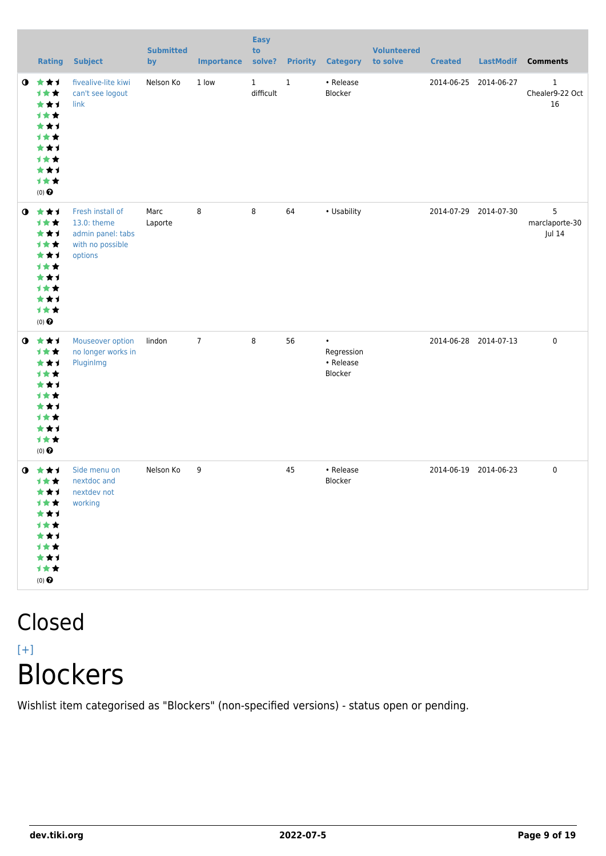|           | <b>Rating</b>                                                                                     | <b>Subject</b>                                                                      | <b>Submitted</b><br>by | <b>Importance</b> | <b>Easy</b><br>to<br>solve? |         | <b>Priority Category</b>                        | <b>Volunteered</b><br>to solve | <b>Created</b> | <b>LastModif</b>      | <b>Comments</b>                       |
|-----------|---------------------------------------------------------------------------------------------------|-------------------------------------------------------------------------------------|------------------------|-------------------|-----------------------------|---------|-------------------------------------------------|--------------------------------|----------------|-----------------------|---------------------------------------|
| $\bullet$ | 大女子<br>1★★<br>***<br>1★★<br>***<br>计女女<br>***<br><b>1**</b><br>***<br>计女女<br>$(0)$ $\odot$        | fivealive-lite kiwi<br>can't see logout<br>link                                     | Nelson Ko              | 1 low             | $\mathbf{1}$<br>difficult   | $\,1\,$ | • Release<br>Blocker                            |                                | 2014-06-25     | 2014-06-27            | $\mathbf{1}$<br>Chealer9-22 Oct<br>16 |
| $\bullet$ | 大大士<br>计女女<br>***<br>1★★<br>***<br><b>1**</b><br>***<br><b>1**</b><br>★★1<br>计女女<br>$(0)$ $\odot$ | Fresh install of<br>13.0: theme<br>admin panel: tabs<br>with no possible<br>options | Marc<br>Laporte        | 8                 | 8                           | 64      | • Usability                                     |                                |                | 2014-07-29 2014-07-30 | 5<br>marclaporte-30<br>Jul 14         |
| $\bullet$ | ***<br>计女女<br>***<br>计女女<br>★★1<br><b>1★★</b><br>***<br>1★★<br>***<br>计女女<br>$(0)$ $\odot$        | Mouseover option<br>no longer works in<br>PluginImg                                 | lindon                 | $\overline{7}$    | 8                           | 56      | $\bullet$<br>Regression<br>• Release<br>Blocker |                                |                | 2014-06-28 2014-07-13 | $\pmb{0}$                             |
| $\bullet$ | ***<br>计女女<br>***<br>计女女<br>***<br>计女女<br>***<br>计女女<br>***<br>计女女<br>$(0)$ $\odot$               | Side menu on<br>nextdoc and<br>nextdev not<br>working                               | Nelson Ko              | 9                 |                             | 45      | • Release<br>Blocker                            |                                |                | 2014-06-19 2014-06-23 | 0                                     |

### Closed  $[+]$ Blockers

Wishlist item categorised as "Blockers" (non-specified versions) - status open or pending.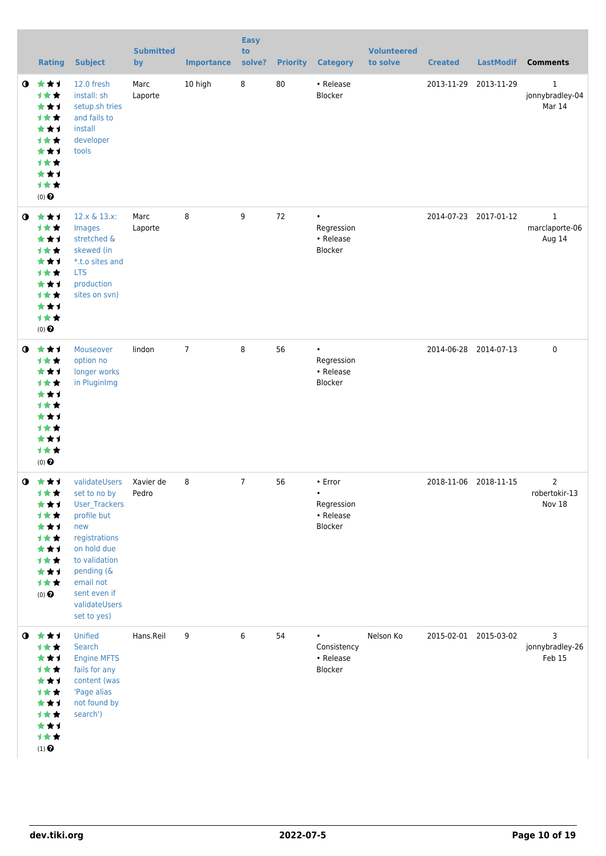|           | <b>Rating</b>                                                                                                   | <b>Subject</b>                                                                                                                                                                                   | <b>Submitted</b><br>by | <b>Importance</b> | <b>Easy</b><br>to<br>solve? | <b>Priority</b> | <b>Category</b>                                            | <b>Volunteered</b><br>to solve | <b>Created</b>        | <b>LastModif</b>      | <b>Comments</b>                           |
|-----------|-----------------------------------------------------------------------------------------------------------------|--------------------------------------------------------------------------------------------------------------------------------------------------------------------------------------------------|------------------------|-------------------|-----------------------------|-----------------|------------------------------------------------------------|--------------------------------|-----------------------|-----------------------|-------------------------------------------|
| $\bullet$ | ***<br>计女女<br>***<br>计女女<br>***<br>计女女<br>***<br>计女女<br>***<br>计女女<br>$(0)$ $\odot$                             | 12.0 fresh<br>install: sh<br>setup.sh tries<br>and fails to<br>install<br>developer<br>tools                                                                                                     | Marc<br>Laporte        | 10 high           | $\bf 8$                     | 80              | • Release<br>Blocker                                       |                                | 2013-11-29 2013-11-29 |                       | $\mathbf{1}$<br>jonnybradley-04<br>Mar 14 |
| $\bullet$ | 大女子<br>计女女<br>★★1<br>计女女<br>***<br><b>1**</b><br>***<br>计女女<br>***<br>计女女<br>$(0)$ $\odot$                      | 12.x & 13.x:<br>Images<br>stretched &<br>skewed (in<br>*.t.o sites and<br><b>LTS</b><br>production<br>sites on svn)                                                                              | Marc<br>Laporte        | 8                 | 9                           | 72              | $\bullet$<br>Regression<br>• Release<br>Blocker            |                                |                       | 2014-07-23 2017-01-12 | $\mathbf{1}$<br>marclaporte-06<br>Aug 14  |
| $\bullet$ | 女女子<br>计女女<br>***<br>计女女<br>***<br>计女女<br>**1<br><b>1**</b><br>***<br>计女女<br>$(0)$ $\odot$                      | Mouseover<br>option no<br>longer works<br>in PluginImg                                                                                                                                           | lindon                 | $\overline{7}$    | 8                           | 56              | $\bullet$<br>Regression<br>• Release<br>Blocker            |                                |                       | 2014-06-28 2014-07-13 | $\mathbf 0$                               |
| $\bullet$ | - 大 大 ゴ<br>计女女<br>★★1<br>计女女<br>***<br>计女女<br>***<br>计女女<br>***<br>计女女<br>$(0)$ $\odot$                         | validateUsers<br>set to no by<br>User_Trackers<br>profile but<br>new<br>registrations<br>on hold due<br>to validation<br>pending (&<br>email not<br>sent even if<br>validateUsers<br>set to yes) | Xavier de<br>Pedro     | 8                 | $\overline{7}$              | 56              | • Error<br>$\bullet$<br>Regression<br>• Release<br>Blocker |                                | 2018-11-06 2018-11-15 |                       | $\overline{2}$<br>robertokir-13<br>Nov 18 |
|           | $0$ $\star\star\star$<br>计女女<br>★★1<br>计女女<br>***<br>计女女<br>***<br>计女女<br>***<br>计女女<br>$(1)$<br>$\pmb{\Theta}$ | Unified<br>Search<br><b>Engine MFTS</b><br>fails for any<br>content (was<br>'Page alias<br>not found by<br>search')                                                                              | Hans.Reil              | 9                 | 6                           | 54              | Consistency<br>• Release<br>Blocker                        | Nelson Ko                      |                       | 2015-02-01 2015-03-02 | 3<br>jonnybradley-26<br>Feb 15            |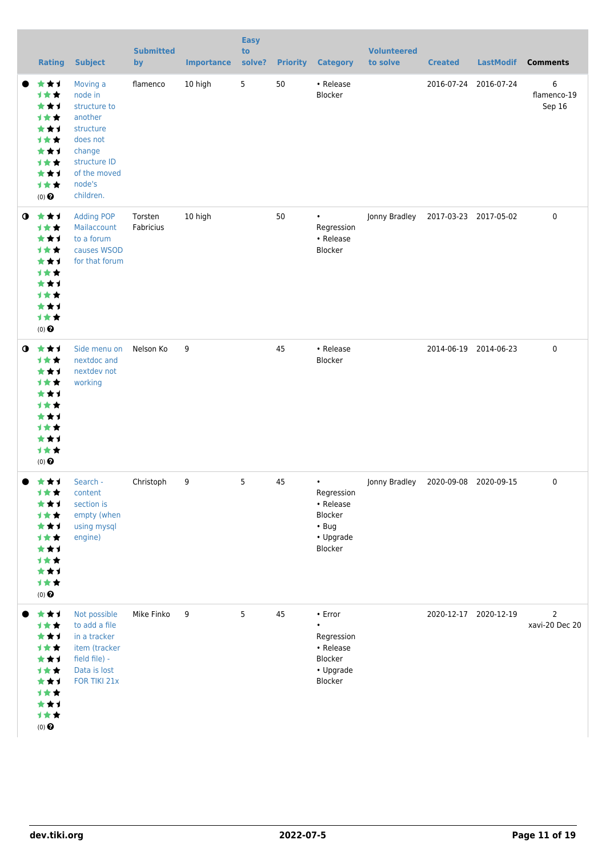|           | <b>Rating</b>                                                                                             | <b>Subject</b>                                                                                                                           | <b>Submitted</b><br>by | <b>Importance</b> | <b>Easy</b><br>to<br>solve? |    | <b>Priority Category</b>                                                                 | <b>Volunteered</b><br>to solve | <b>Created</b>        | <b>LastModif</b>      | <b>Comments</b>                  |
|-----------|-----------------------------------------------------------------------------------------------------------|------------------------------------------------------------------------------------------------------------------------------------------|------------------------|-------------------|-----------------------------|----|------------------------------------------------------------------------------------------|--------------------------------|-----------------------|-----------------------|----------------------------------|
|           | ★★1<br>计女女<br>***<br>计女女<br>***<br>计女女<br>***<br>计女女<br>***<br>计女女<br>$(0)$ $\odot$                       | Moving a<br>node in<br>structure to<br>another<br>structure<br>does not<br>change<br>structure ID<br>of the moved<br>node's<br>children. | flamenco               | 10 high           | $5\phantom{.0}$             | 50 | • Release<br>Blocker                                                                     |                                |                       | 2016-07-24 2016-07-24 | 6<br>flamenco-19<br>Sep 16       |
| $\bullet$ | ***<br>计女女<br>***<br>计女女<br>***<br>计女女<br>***<br>1★★<br>***<br>计女女<br>$(0)$ <sup><math>\odot</math></sup> | <b>Adding POP</b><br>Mailaccount<br>to a forum<br>causes WSOD<br>for that forum                                                          | Torsten<br>Fabricius   | 10 high           |                             | 50 | $\bullet$<br>Regression<br>• Release<br>Blocker                                          | Jonny Bradley                  | 2017-03-23 2017-05-02 |                       | 0                                |
| $\bullet$ | ***<br>计女女<br>***<br>计女女<br>***<br>才女女<br>**1<br>计女女<br>***<br>1女女<br>$(0)$ <sup><math>\odot</math></sup> | Side menu on<br>nextdoc and<br>nextdev not<br>working                                                                                    | Nelson Ko              | 9                 |                             | 45 | • Release<br>Blocker                                                                     |                                |                       | 2014-06-19 2014-06-23 | 0                                |
|           | ***<br>1★★<br>**1<br>计女女<br>***<br>计女女<br>**1<br>1★★<br>***<br>计女女<br>$(0)$ $\bigodot$                    | Search -<br>content<br>section is<br>empty (when<br>using mysql<br>engine)                                                               | Christoph              | 9                 | 5                           | 45 | $\bullet$<br>Regression<br>• Release<br>Blocker<br>$\cdot$ Bug<br>• Upgrade<br>Blocker   | Jonny Bradley                  | 2020-09-08 2020-09-15 |                       | 0                                |
|           | ***<br>计女女<br>***<br>计女女<br>***<br>计女女<br>***<br>计女女<br>***<br>计女女<br>$(0)$ $\odot$                       | Not possible<br>to add a file<br>in a tracker<br>item (tracker<br>field file) -<br>Data is lost<br>FOR TIKI 21x                          | Mike Finko             | 9                 | 5                           | 45 | $\cdot$ Error<br>$\bullet$<br>Regression<br>• Release<br>Blocker<br>• Upgrade<br>Blocker |                                |                       | 2020-12-17 2020-12-19 | $\overline{2}$<br>xavi-20 Dec 20 |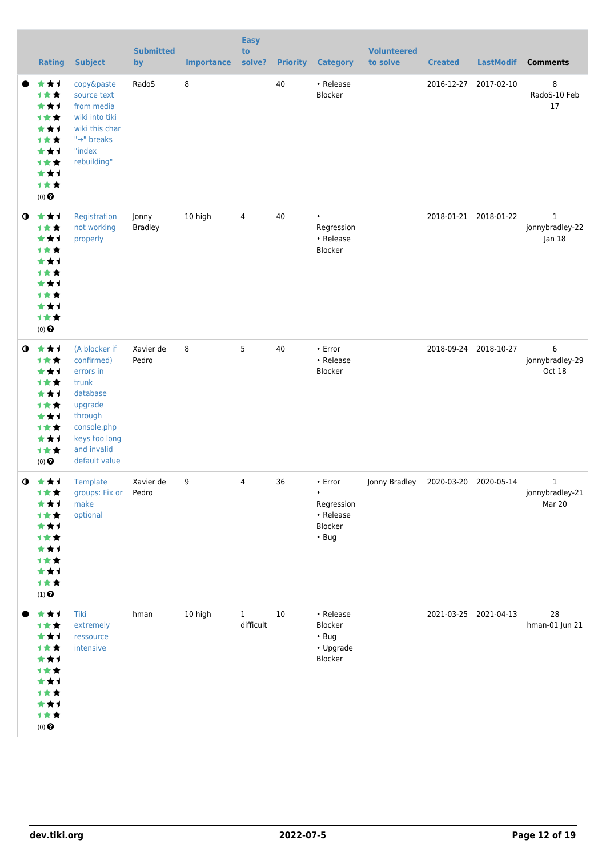|           | <b>Rating</b>                                                                                             | <b>Subject</b>                                                                                                                                      | <b>Submitted</b><br>by  | <b>Importance</b> | <b>Easy</b><br>to<br>solve? | <b>Priority</b> | <b>Category</b>                                                           | <b>Volunteered</b><br>to solve | <b>Created</b> | <b>LastModif</b>      | <b>Comments</b>                |
|-----------|-----------------------------------------------------------------------------------------------------------|-----------------------------------------------------------------------------------------------------------------------------------------------------|-------------------------|-------------------|-----------------------------|-----------------|---------------------------------------------------------------------------|--------------------------------|----------------|-----------------------|--------------------------------|
|           | ★★1<br>计女女<br>***<br>计女女<br>***<br>计女女<br>***<br>计女女<br>***<br>计女女<br>$(0)$ <sup><math>\odot</math></sup> | copy&paste<br>source text<br>from media<br>wiki into tiki<br>wiki this char<br>"→" breaks<br>"index<br>rebuilding"                                  | RadoS                   | 8                 |                             | 40              | • Release<br>Blocker                                                      |                                |                | 2016-12-27 2017-02-10 | 8<br>RadoS-10 Feb<br>17        |
| $\bullet$ | ***<br>计女女<br>***<br>计女女<br>***<br>计女女<br>***<br>计女女<br>**1<br>计女女<br>$(0)$ <sup><math>\odot</math></sup> | Registration<br>not working<br>properly                                                                                                             | Jonny<br><b>Bradley</b> | 10 high           | 4                           | 40              | $\bullet$<br>Regression<br>• Release<br>Blocker                           |                                |                | 2018-01-21 2018-01-22 | 1<br>jonnybradley-22<br>Jan 18 |
| $\bullet$ | ***<br>计女女<br>***<br>计女女<br>***<br>计女女<br>***<br>计女女<br>***<br>计女女<br>$(0)$ $\odot$                       | (A blocker if<br>confirmed)<br>errors in<br>trunk<br>database<br>upgrade<br>through<br>console.php<br>keys too long<br>and invalid<br>default value | Xavier de<br>Pedro      | 8                 | 5                           | 40              | • Error<br>• Release<br>Blocker                                           |                                |                | 2018-09-24 2018-10-27 | 6<br>jonnybradley-29<br>Oct 18 |
| $\bullet$ | - 大 大 ゴ<br>计女女<br>★★1<br>计女女<br>**1<br>1★★<br>***<br>计女女<br>***<br>计女女<br>$(1)$<br>$\pmb{\Theta}$         | Template<br>groups: Fix or Pedro<br>make<br>optional                                                                                                | Xavier de               | 9                 | 4                           | 36              | • Error<br>$\bullet$<br>Regression<br>• Release<br>Blocker<br>$\cdot$ Bug | Jonny Bradley                  |                | 2020-03-20 2020-05-14 | 1<br>jonnybradley-21<br>Mar 20 |
|           | ***<br>计女女<br>**1<br>才女女<br>**1<br>计女女<br>★★1<br>计女女<br>**1<br>计女女<br>$(0)$ $\odot$                       | Tiki<br>extremely<br>ressource<br>intensive                                                                                                         | hman                    | 10 high           | $\mathbf{1}$<br>difficult   | 10              | • Release<br>Blocker<br>$\cdot$ Bug<br>• Upgrade<br>Blocker               |                                |                | 2021-03-25 2021-04-13 | 28<br>hman-01 Jun 21           |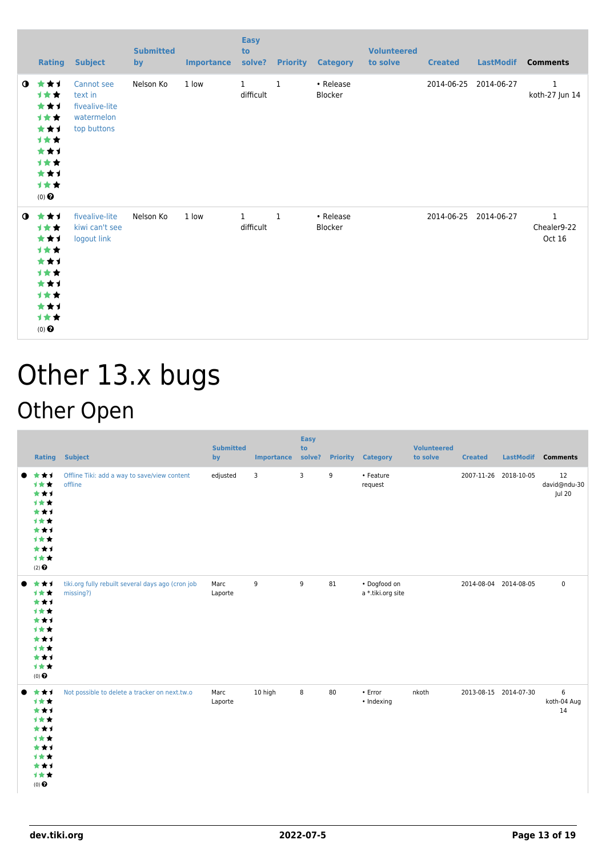|             | Rating                                                                              | <b>Subject</b>                                                       | <b>Submitted</b><br>by | <b>Importance</b> | <b>Easy</b><br>to<br>solve? |              | <b>Priority Category</b>    | <b>Volunteered</b><br>to solve | <b>Created</b> | <b>LastModif</b>      | <b>Comments</b>                |
|-------------|-------------------------------------------------------------------------------------|----------------------------------------------------------------------|------------------------|-------------------|-----------------------------|--------------|-----------------------------|--------------------------------|----------------|-----------------------|--------------------------------|
| $\mathbf o$ | ***<br>1★★<br>***<br>计女女<br>***<br>计女女<br>***<br>计女女<br>***<br>计女女<br>$(0)$ $\odot$ | Cannot see<br>text in<br>fivealive-lite<br>watermelon<br>top buttons | Nelson Ko              | 1 low             | $\mathbf{1}$<br>difficult   | $\mathbf{1}$ | • Release<br><b>Blocker</b> |                                | 2014-06-25     | 2014-06-27            | $\mathbf{1}$<br>koth-27 Jun 14 |
| $\mathbf o$ | ***<br>1★★<br>***<br>计女女<br>***<br>计女女<br>***<br>1★★<br>***<br>计女女<br>$(0)$ $\odot$ | fivealive-lite<br>kiwi can't see<br>logout link                      | Nelson Ko              | 1 low             | $\mathbf{1}$<br>difficult   | $\mathbf{1}$ | • Release<br>Blocker        |                                |                | 2014-06-25 2014-06-27 | $1\,$<br>Chealer9-22<br>Oct 16 |

### Other 13.x bugs Other Open

| <b>Rating</b>                                                                       | <b>Subject</b>                                                 | <b>Submitted</b><br>by | Importance solve? | <b>Easy</b><br>to | <b>Priority</b> | <b>Category</b>                   | <b>Volunteered</b><br>to solve | <b>Created</b>        | <b>LastModif</b> | <b>Comments</b>              |
|-------------------------------------------------------------------------------------|----------------------------------------------------------------|------------------------|-------------------|-------------------|-----------------|-----------------------------------|--------------------------------|-----------------------|------------------|------------------------------|
| ***<br>***<br>***<br>1★★<br>***<br>1**<br>***<br>1★★<br>***<br>计女女<br>$(2)$ $\odot$ | Offline Tiki: add a way to save/view content<br>offline        | edjusted               | 3                 | 3                 | 9               | • Feature<br>request              |                                | 2007-11-26 2018-10-05 |                  | 12<br>david@ndu-30<br>Jul 20 |
| ***<br>计女女<br>***<br>1**<br>***<br>1**<br>***<br>计女女<br>***<br>计女女<br>$(0)$ $\odot$ | tiki.org fully rebuilt several days ago (cron job<br>missing?) | Marc<br>Laporte        | 9                 | 9                 | 81              | · Dogfood on<br>a *.tiki.org site |                                | 2014-08-04 2014-08-05 |                  | $\pmb{0}$                    |
| ***<br>计女女<br>***<br>计女女<br>***<br>1**<br>***<br>计女女<br>***<br>计女女<br>$(0)$ $\odot$ | Not possible to delete a tracker on next.tw.o                  | Marc<br>Laporte        | 10 high           | 8                 | 80              | • Error<br>• Indexing             | nkoth                          | 2013-08-15 2014-07-30 |                  | 6<br>koth-04 Aug<br>14       |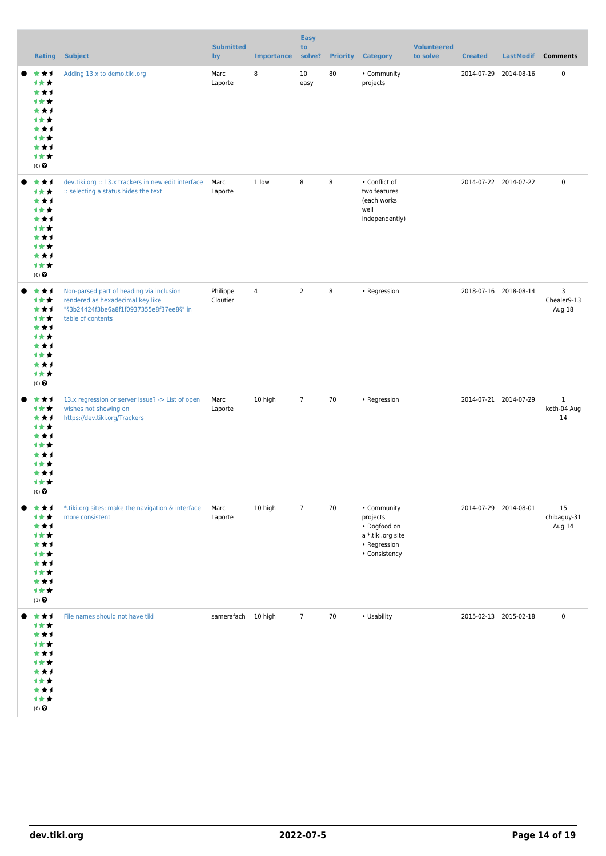|                                                                                                       |                                                                                                                                              | <b>Submitted</b>     |                   | <b>Easy</b><br>to |    | <b>Volunteered</b>                                                                            |          |                       |           |                                   |
|-------------------------------------------------------------------------------------------------------|----------------------------------------------------------------------------------------------------------------------------------------------|----------------------|-------------------|-------------------|----|-----------------------------------------------------------------------------------------------|----------|-----------------------|-----------|-----------------------------------|
| <b>Rating</b>                                                                                         | <b>Subject</b>                                                                                                                               | by                   | <b>Importance</b> | solve?            |    | <b>Priority Category</b>                                                                      | to solve | <b>Created</b>        | LastModif | <b>Comments</b>                   |
| ***<br>计女女<br>***<br>计女女<br>***<br>计女女<br>***<br>计女女<br>***<br>计女女<br>$(0)$ $\odot$                   | Adding 13.x to demo.tiki.org                                                                                                                 | Marc<br>Laporte      | 8                 | 10<br>easy        | 80 | • Community<br>projects                                                                       |          | 2014-07-29 2014-08-16 |           | $\pmb{0}$                         |
| ***<br>计女女<br>***<br>计女女<br>***<br>计女女<br>***<br>计女女<br>***<br>计女女<br>$(0)$ $\odot$                   | dev.tiki.org :: 13.x trackers in new edit interface<br>:: selecting a status hides the text                                                  | Marc<br>Laporte      | 1 low             | 8                 | 8  | • Conflict of<br>two features<br>(each works<br>well<br>independently)                        |          | 2014-07-22 2014-07-22 |           | $\pmb{0}$                         |
| ***<br>计女女<br>***<br>计女女<br>***<br>计女女<br>***<br>计女女<br>***<br>计女女<br>$(0)$ $\odot$                   | Non-parsed part of heading via inclusion<br>rendered as hexadecimal key like<br>"§3b24424f3be6a8f1f0937355e8f37ee8§" in<br>table of contents | Philippe<br>Cloutier | $\sqrt{4}$        | $\overline{2}$    | 8  | • Regression                                                                                  |          | 2018-07-16 2018-08-14 |           | 3<br>Chealer9-13<br>Aug 18        |
| ***<br>计女女<br>***<br>计女女<br>***<br>计女女<br>***<br>计女女<br>***<br>计女女<br>$(0)$ $\bullet$                 | 13.x regression or server issue? -> List of open<br>wishes not showing on<br>https://dev.tiki.org/Trackers                                   | Marc<br>Laporte      | 10 high           | $\overline{7}$    | 70 | • Regression                                                                                  |          | 2014-07-21 2014-07-29 |           | $\mathbf{1}$<br>koth-04 Aug<br>14 |
| ***<br>计女女<br>***<br>计女女<br>***<br>计女女<br>***<br>计女女<br>***<br>计女女<br>$\left(1\right)$ $\pmb{\Theta}$ | *.tiki.org sites: make the navigation & interface<br>more consistent                                                                         | Marc<br>Laporte      | 10 high           | $\overline{7}$    | 70 | • Community<br>projects<br>· Dogfood on<br>a *.tiki.org site<br>• Regression<br>• Consistency |          | 2014-07-29 2014-08-01 |           | 15<br>chibaguy-31<br>Aug 14       |
| ***<br>计女女<br>***<br>计女女<br>***<br>1 * *<br>***<br>计女女<br>***<br>计女女<br>$(0)$ $\odot$                 | File names should not have tiki                                                                                                              | samerafach 10 high   |                   | $\overline{7}$    | 70 | • Usability                                                                                   |          | 2015-02-13 2015-02-18 |           | $\pmb{0}$                         |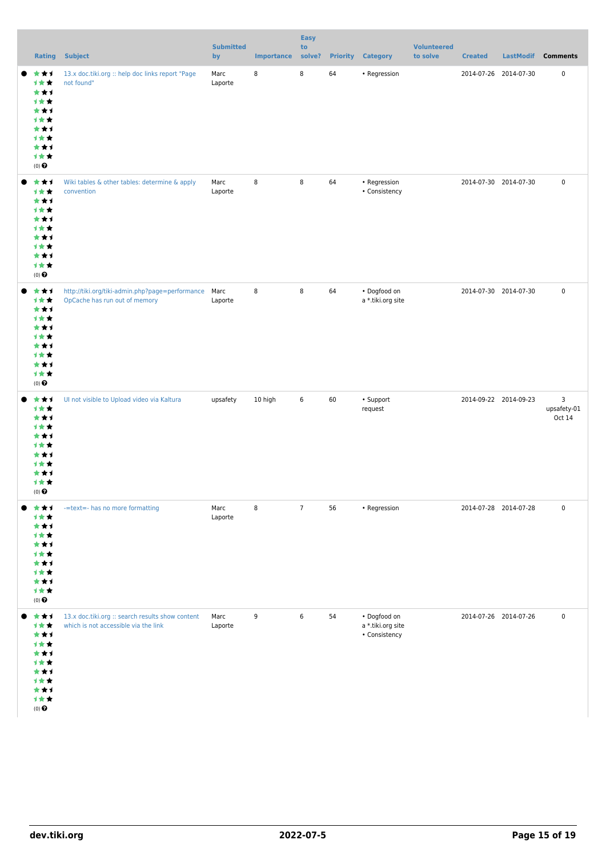|                                                                                                | <b>Rating Subject</b>                                                                    | <b>Submitted</b><br>by | <b>Importance</b> | <b>Easy</b><br>to<br>solve? |    | <b>Priority Category</b>                                   | <b>Volunteered</b><br>to solve | <b>Created</b>        | LastModif Comments         |
|------------------------------------------------------------------------------------------------|------------------------------------------------------------------------------------------|------------------------|-------------------|-----------------------------|----|------------------------------------------------------------|--------------------------------|-----------------------|----------------------------|
| ★↑<br>★<br>计女女<br>***<br>计女女<br>***<br>计女女<br>***<br>计女女<br>***<br>计女女<br>$(0)$ $\pmb{\Theta}$ | 13.x doc.tiki.org :: help doc links report "Page<br>not found"                           | Marc<br>Laporte        | 8                 | 8                           | 64 | • Regression                                               |                                | 2014-07-26 2014-07-30 | $\pmb{0}$                  |
| ***<br>计女女<br>***<br>计女女<br>***<br>计女女<br>***<br>计女女<br>***<br>计女女<br>$(0)$ $\pmb{\Theta}$     | Wiki tables & other tables: determine & apply<br>convention                              | Marc<br>Laporte        | 8                 | 8                           | 64 | • Regression<br>• Consistency                              |                                | 2014-07-30 2014-07-30 | $\pmb{0}$                  |
| ***<br>计女女<br>***<br>计女女<br>***<br>计女女<br>***<br>计女女<br>***<br>计女女<br>$(0)$ $\pmb{\Theta}$     | http://tiki.org/tiki-admin.php?page=performance<br>OpCache has run out of memory         | Marc<br>Laporte        | 8                 | $\,8\,$                     | 64 | • Dogfood on<br>a *.tiki.org site                          |                                | 2014-07-30 2014-07-30 | $\pmb{0}$                  |
| ***<br>计女女<br>***<br>计女女<br>***<br>计女女<br>***<br>计女女<br>***<br>计女女<br>$(0)$ $\odot$            | Ul not visible to Upload video via Kaltura                                               | upsafety               | 10 high           | $\,6\,$                     | 60 | • Support<br>request                                       |                                | 2014-09-22 2014-09-23 | 3<br>upsafety-01<br>Oct 14 |
| ***<br>计女女<br>***<br>计女女<br>***<br>计女女<br>***<br>计女女<br>***<br>计女女<br>$(0)$<br>$\pmb{\Theta}$  | -=text=- has no more formatting                                                          | Marc<br>Laporte        | 8                 | $\overline{7}$              | 56 | • Regression                                               |                                | 2014-07-28 2014-07-28 | $\pmb{0}$                  |
| ***<br>计女女<br>***<br>计女女<br>***<br>计女女<br>***<br>计女女<br>***<br>计女女<br>$(0)$ $\pmb{\Theta}$     | 13.x doc.tiki.org :: search results show content<br>which is not accessible via the link | Marc<br>Laporte        | 9                 | 6                           | 54 | $\bullet$ Dogfood on<br>a *.tiki.org site<br>• Consistency |                                | 2014-07-26 2014-07-26 | $\pmb{0}$                  |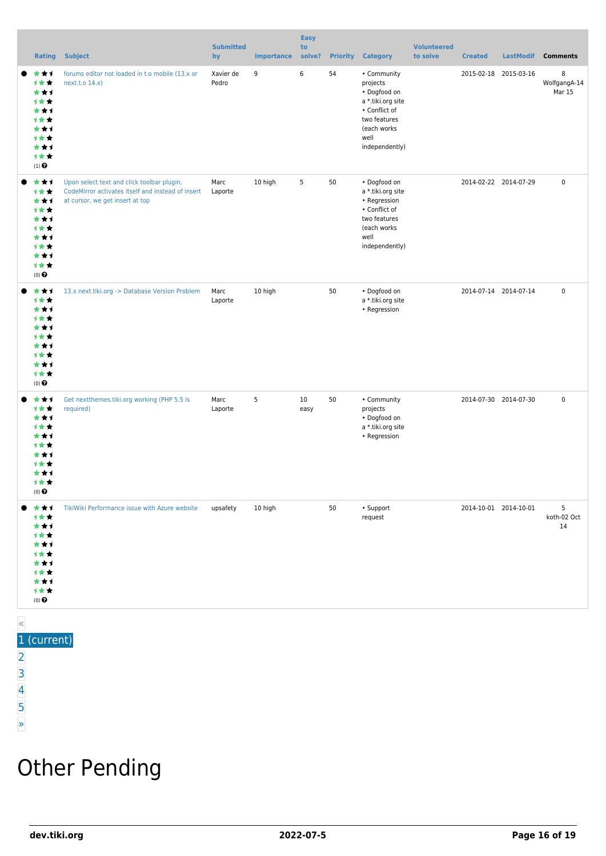|       | Rating                                                                                                | <b>Subject</b>                                                                                                                     | <b>Submitted</b><br>by | <b>Importance</b> | <b>Easy</b><br>to<br>solve? | <b>Priority</b> | <b>Category</b>                                                                                                                        | <b>Volunteered</b><br>to solve | <b>Created</b>        | <b>LastModif</b>      | <b>Comments</b>             |
|-------|-------------------------------------------------------------------------------------------------------|------------------------------------------------------------------------------------------------------------------------------------|------------------------|-------------------|-----------------------------|-----------------|----------------------------------------------------------------------------------------------------------------------------------------|--------------------------------|-----------------------|-----------------------|-----------------------------|
|       | ***<br>计女女<br>***<br>计女女<br>***<br>计女女<br>***<br>计女女<br>***<br>计女女<br>$\left(1\right)$ $\pmb{\Theta}$ | forums editor not loaded in t.o mobile (13.x or<br>next.t.o 14.x)                                                                  | Xavier de<br>Pedro     | 9                 | 6                           | 54              | • Community<br>projects<br>• Dogfood on<br>a *.tiki.org site<br>• Conflict of<br>two features<br>(each works<br>well<br>independently) |                                |                       | 2015-02-18 2015-03-16 | 8<br>WolfgangA-14<br>Mar 15 |
|       | ***<br>计女女<br>***<br>计女女<br>***<br>计女女<br>***<br>计女女<br>***<br>计女女<br>$(0)$ $\odot$                   | Upon select text and click toolbar plugin,<br>CodeMirror activates itself and instead of insert<br>at cursor, we get insert at top | Marc<br>Laporte        | 10 high           | 5                           | 50              | • Dogfood on<br>a *.tiki.org site<br>• Regression<br>• Conflict of<br>two features<br>(each works<br>well<br>independently)            |                                | 2014-02-22 2014-07-29 |                       | $\pmb{0}$                   |
|       | ***<br>计女女<br>***<br>计女女<br>***<br>***<br>***<br>计女女<br>***<br>计女女<br>$(0)$ $\odot$                   | 13.x next.tiki.org -> Database Version Problem                                                                                     | Marc<br>Laporte        | 10 high           |                             | 50              | • Dogfood on<br>a *.tiki.org site<br>• Regression                                                                                      |                                | 2014-07-14 2014-07-14 |                       | $\pmb{0}$                   |
|       | ***<br>计女女<br>***<br>计女女<br>***<br>计女女<br>***<br>计女女<br>***<br>计女女<br>$(0)$ $\odot$                   | Get nextthemes.tiki.org working (PHP 5.5 is<br>required)                                                                           | Marc<br>Laporte        | 5                 | 10<br>easy                  | 50              | • Community<br>projects<br>• Dogfood on<br>a *.tiki.org site<br>• Regression                                                           |                                | 2014-07-30 2014-07-30 |                       | $\pmb{0}$                   |
|       | *1<br>1 * *<br>*1<br>1 * *<br>★↑<br>1 * *<br>*1<br>1 * *<br>★★1<br>计女女<br>$(0)$ $\odot$               | TikiWiki Performance issue with Azure website                                                                                      | upsafety               | 10 high           |                             | 50              | • Support<br>request                                                                                                                   |                                | 2014-10-01 2014-10-01 |                       | 5<br>koth-02 Oct<br>14      |
| $\ll$ |                                                                                                       |                                                                                                                                    |                        |                   |                             |                 |                                                                                                                                        |                                |                       |                       |                             |

#### 1 (current)

- [2](https://dev.tiki.org/tiki-print.php?tr_sort_mode1=f_41_desc&page=Tiki13&tr_sort_mode2=f_26_asc&tr_offset5=20)
- [3](https://dev.tiki.org/tiki-print.php?tr_sort_mode1=f_41_desc&page=Tiki13&tr_sort_mode2=f_26_asc&tr_offset5=40)
- [4](https://dev.tiki.org/tiki-print.php?tr_sort_mode1=f_41_desc&page=Tiki13&tr_sort_mode2=f_26_asc&tr_offset5=60)
- [5](https://dev.tiki.org/tiki-print.php?tr_sort_mode1=f_41_desc&page=Tiki13&tr_sort_mode2=f_26_asc&tr_offset5=80)

#### [»](https://dev.tiki.org/tiki-print.php?tr_sort_mode1=f_41_desc&page=Tiki13&tr_sort_mode2=f_26_asc&tr_offset5=20)

### Other Pending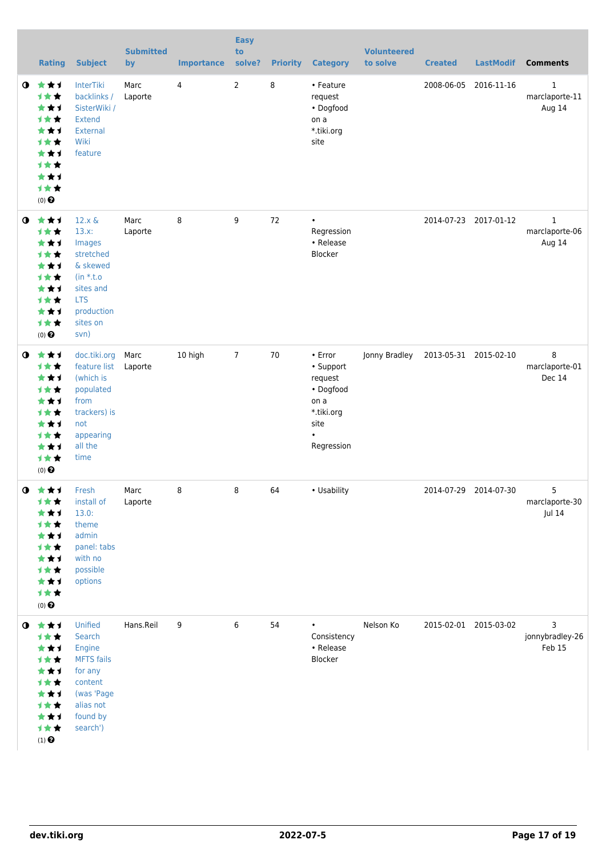|             | <b>Rating</b>                                                                                                                         | <b>Subject</b>                                                                                                                        | <b>Submitted</b><br>by | <b>Importance</b> | <b>Easy</b><br>to<br>solve? | <b>Priority</b> | <b>Category</b>                                                                                       | <b>Volunteered</b><br>to solve | <b>Created</b> | <b>LastModif</b>      | <b>Comments</b>                          |
|-------------|---------------------------------------------------------------------------------------------------------------------------------------|---------------------------------------------------------------------------------------------------------------------------------------|------------------------|-------------------|-----------------------------|-----------------|-------------------------------------------------------------------------------------------------------|--------------------------------|----------------|-----------------------|------------------------------------------|
| $\bullet$   | 大大士<br><b>1**</b><br>***<br><b>1**</b><br>***<br><b>1**</b><br>***<br><b>1**</b><br>**1<br>计女女<br>$(0)$ <sup><math>\odot</math></sup> | InterTiki<br>backlinks /<br>SisterWiki /<br><b>Extend</b><br>External<br>Wiki<br>feature                                              | Marc<br>Laporte        | 4                 | 2                           | 8               | • Feature<br>request<br>• Dogfood<br>on a<br>*.tiki.org<br>site                                       |                                | 2008-06-05     | 2016-11-16            | $\mathbf 1$<br>marclaporte-11<br>Aug 14  |
| $\mathbf o$ | 大女子<br>才女女<br>***<br>才女女<br>***<br>1★★<br>***<br><b>1**</b><br>***<br>计女女<br>$(0)$ $\odot$                                            | $12.x \&$<br>$13.x$ :<br>Images<br>stretched<br>& skewed<br>$(in * t.o)$<br>sites and<br><b>LTS</b><br>production<br>sites on<br>svn) | Marc<br>Laporte        | 8                 | 9                           | 72              | $\bullet$<br>Regression<br>• Release<br>Blocker                                                       |                                |                | 2014-07-23 2017-01-12 | $\mathbf{1}$<br>marclaporte-06<br>Aug 14 |
| $\mathbf o$ | ***<br>计女女<br>***<br>计女女<br>***<br>计女女<br>***<br>计女女<br>***<br>计女女<br>$(0)$ $\odot$                                                   | doc.tiki.org<br>feature list<br>(which is<br>populated<br>from<br>trackers) is<br>not<br>appearing<br>all the<br>time                 | Marc<br>Laporte        | 10 high           | $\overline{7}$              | 70              | • Error<br>• Support<br>request<br>• Dogfood<br>on a<br>*.tiki.org<br>site<br>$\bullet$<br>Regression | Jonny Bradley                  |                | 2013-05-31 2015-02-10 | 8<br>marclaporte-01<br>Dec 14            |
| $\mathbf 0$ | 大大士<br>1★★<br>***<br>计女女<br>***<br>计女女<br>***<br>计女女<br>***<br>计女女<br>$(0)$ $\pmb{\Theta}$                                            | Fresh<br>install of<br>13.0:<br>theme<br>admin<br>panel: tabs<br>with no<br>possible<br>options                                       | Marc<br>Laporte        | 8                 | 8                           | 64              | • Usability                                                                                           |                                |                | 2014-07-29 2014-07-30 | 5<br>marclaporte-30<br>Jul 14            |
| $\bullet$   | 大女子<br>计女女<br>***<br>1★★<br>***<br>计女女<br>***<br>计女女<br>***<br>计女女<br>$(1)$ $\odot$                                                   | Unified<br>Search<br>Engine<br><b>MFTS</b> fails<br>for any<br>content<br>(was 'Page<br>alias not<br>found by<br>search')             | Hans.Reil              | 9                 | 6                           | 54              | $\bullet$<br>Consistency<br>• Release<br>Blocker                                                      | Nelson Ko                      |                | 2015-02-01 2015-03-02 | 3<br>jonnybradley-26<br>Feb 15           |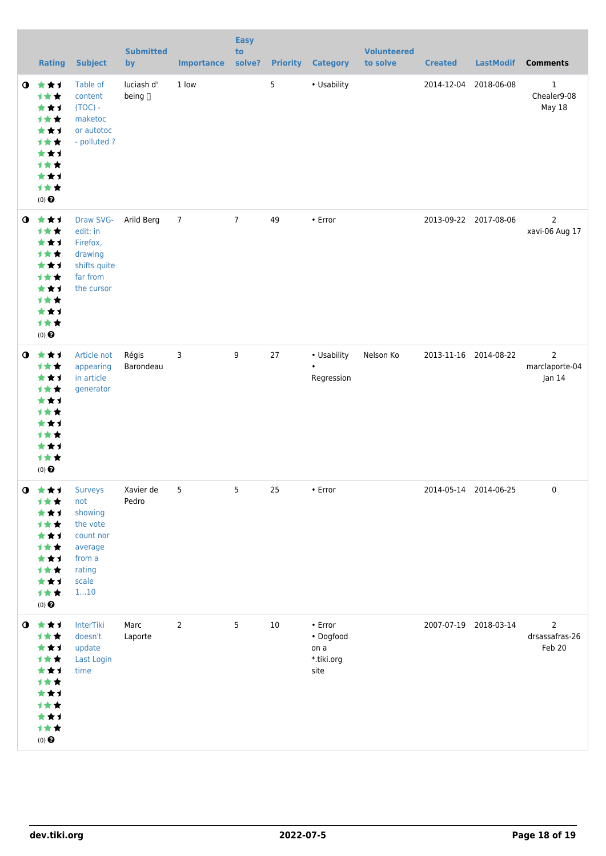|           | <b>Rating</b>                                                                                                   | <b>Subject</b>                                                                         | <b>Submitted</b><br>by | <b>Importance</b> | <b>Easy</b><br>to<br>solve? |                | <b>Priority Category</b>                           | <b>Volunteered</b><br>to solve | <b>Created</b> | <b>LastModif</b>      | <b>Comments</b>                              |
|-----------|-----------------------------------------------------------------------------------------------------------------|----------------------------------------------------------------------------------------|------------------------|-------------------|-----------------------------|----------------|----------------------------------------------------|--------------------------------|----------------|-----------------------|----------------------------------------------|
| $\bullet$ | 大女子<br>→★★<br>***<br>计女女<br>***<br>计女女<br>***<br>计女女<br>***<br>计女女<br>$(0)$<br>$\pmb{\Theta}$                   | Table of<br>content<br>$(TOC) -$<br>maketoc<br>or autotoc<br>- polluted?               | luciash d'<br>being [] | 1 low             |                             | $5\phantom{a}$ | • Usability                                        |                                |                | 2014-12-04 2018-06-08 | $\mathbf{1}$<br>Chealer9-08<br><b>May 18</b> |
| $\bullet$ | 大女子<br>计女女<br>***<br>计女女<br>***<br>计女女<br>***<br>计女女<br>***<br>计女女<br>$(0)$<br>$\pmb{\Theta}$                   | Draw SVG-<br>edit: in<br>Firefox,<br>drawing<br>shifts quite<br>far from<br>the cursor | Arild Berg             | $\overline{7}$    | $7\overline{ }$             | 49             | • Error                                            |                                |                | 2013-09-22 2017-08-06 | $\overline{2}$<br>xavi-06 Aug 17             |
| $\bullet$ | 大女子<br>计女女<br>***<br>计女女<br>***<br>计女女<br>***<br>计女女<br>***<br>计女女<br>$(0)$ $\odot$                             | Article not<br>appearing<br>in article<br>generator                                    | Régis<br>Barondeau     | 3                 | 9                           | 27             | • Usability<br>$\bullet$<br>Regression             | Nelson Ko                      |                | 2013-11-16 2014-08-22 | $\overline{2}$<br>marclaporte-04<br>Jan 14   |
|           | <b>O</b> ★★1 Surveys<br>计女女<br>***<br>计女女<br>***<br>计女女<br>***<br>计女女<br>***<br>计女女<br>$(0)$ $\odot$            | not<br>showing<br>the vote<br>count nor<br>average<br>from a<br>rating<br>scale<br>110 | Xavier de<br>Pedro     | 5                 | $5\phantom{a}$              | 25             | $\cdot$ Error                                      |                                |                | 2014-05-14 2014-06-25 | $\mathbf 0$                                  |
|           | $0$ $\star\star\star$<br>计女女<br>***<br>计女女<br>***<br>计女女<br>***<br>计女女<br>***<br>计女女<br>$(0)$<br>$\pmb{\Theta}$ | InterTiki<br>doesn't<br>update<br>Last Login<br>time                                   | Marc<br>Laporte        | 2                 | 5                           | 10             | • Error<br>• Dogfood<br>on a<br>*.tiki.org<br>site |                                |                | 2007-07-19 2018-03-14 | $\overline{2}$<br>drsassafras-26<br>Feb 20   |